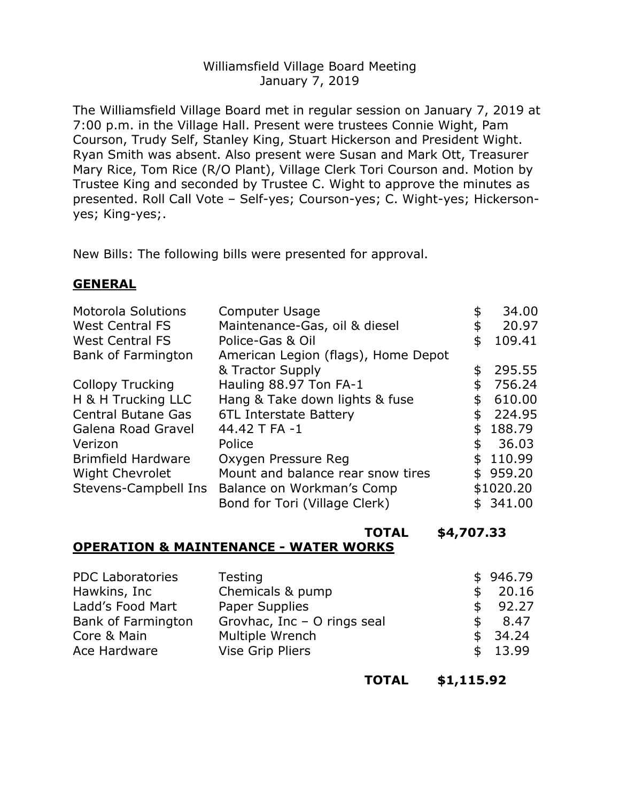### Williamsfield Village Board Meeting January 7, 2019

The Williamsfield Village Board met in regular session on January 7, 2019 at 7:00 p.m. in the Village Hall. Present were trustees Connie Wight, Pam Courson, Trudy Self, Stanley King, Stuart Hickerson and President Wight. Ryan Smith was absent. Also present were Susan and Mark Ott, Treasurer Mary Rice, Tom Rice (R/O Plant), Village Clerk Tori Courson and. Motion by Trustee King and seconded by Trustee C. Wight to approve the minutes as presented. Roll Call Vote – Self-yes; Courson-yes; C. Wight-yes; Hickersonyes; King-yes;.

New Bills: The following bills were presented for approval.

### **GENERAL**

| <b>Motorola Solutions</b> | Computer Usage                      |     | 34.00     |
|---------------------------|-------------------------------------|-----|-----------|
| <b>West Central FS</b>    | Maintenance-Gas, oil & diesel       |     | 20.97     |
| <b>West Central FS</b>    | Police-Gas & Oil                    | S   | 109.41    |
| Bank of Farmington        | American Legion (flags), Home Depot |     |           |
|                           | & Tractor Supply                    | \$  | 295.55    |
| <b>Collopy Trucking</b>   | Hauling 88.97 Ton FA-1              |     | 756.24    |
| H & H Trucking LLC        | Hang & Take down lights & fuse      | \$  | 610.00    |
| <b>Central Butane Gas</b> | 6TL Interstate Battery              |     | 224.95    |
| Galena Road Gravel        | 44.42 T FA -1                       |     | 188.79    |
| Verizon                   | Police                              | \$  | 36.03     |
| <b>Brimfield Hardware</b> | Oxygen Pressure Reg                 | \$. | 110.99    |
| <b>Wight Chevrolet</b>    | Mount and balance rear snow tires   |     | \$959.20  |
| Stevens-Campbell Ins      | Balance on Workman's Comp           |     | \$1020.20 |
|                           | Bond for Tori (Village Clerk)       |     | \$341.00  |

**TOTAL \$4,707.33**

# **OPERATION & MAINTENANCE - WATER WORKS**

| <b>PDC Laboratories</b>   | Testing                     |    | \$946.79 |
|---------------------------|-----------------------------|----|----------|
| Hawkins, Inc              | Chemicals & pump            |    | \$20.16  |
| Ladd's Food Mart          | Paper Supplies              |    | \$92.27  |
| <b>Bank of Farmington</b> | Grovhac, Inc - O rings seal | S. | 8.47     |
| Core & Main               | Multiple Wrench             |    | \$34.24  |
| Ace Hardware              | <b>Vise Grip Pliers</b>     |    | \$13.99  |

**TOTAL \$1,115.92**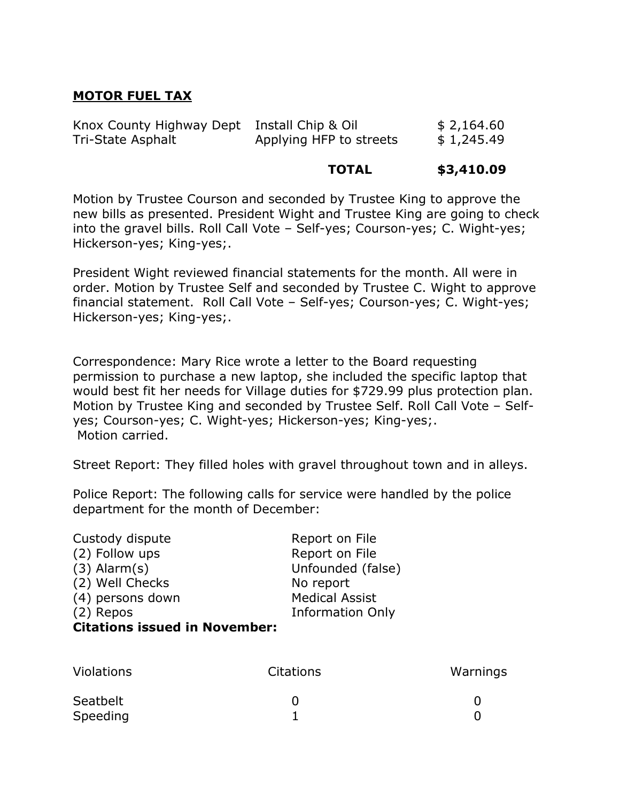## **MOTOR FUEL TAX**

| Knox County Highway Dept Install Chip & Oil |                         | \$2,164.60 |
|---------------------------------------------|-------------------------|------------|
| Tri-State Asphalt                           | Applying HFP to streets | \$1,245.49 |

#### **TOTAL \$3,410.09**

Motion by Trustee Courson and seconded by Trustee King to approve the new bills as presented. President Wight and Trustee King are going to check into the gravel bills. Roll Call Vote – Self-yes; Courson-yes; C. Wight-yes; Hickerson-yes; King-yes;.

President Wight reviewed financial statements for the month. All were in order. Motion by Trustee Self and seconded by Trustee C. Wight to approve financial statement. Roll Call Vote - Self-yes; Courson-yes; C. Wight-yes; Hickerson-yes; King-yes;.

Correspondence: Mary Rice wrote a letter to the Board requesting permission to purchase a new laptop, she included the specific laptop that would best fit her needs for Village duties for \$729.99 plus protection plan. Motion by Trustee King and seconded by Trustee Self. Roll Call Vote – Selfyes; Courson-yes; C. Wight-yes; Hickerson-yes; King-yes;. Motion carried.

Street Report: They filled holes with gravel throughout town and in alleys.

Police Report: The following calls for service were handled by the police department for the month of December:

| Custody dispute                      | Report on File          |
|--------------------------------------|-------------------------|
| (2) Follow ups                       | Report on File          |
| $(3)$ Alarm $(s)$                    | Unfounded (false)       |
| (2) Well Checks                      | No report               |
| (4) persons down                     | <b>Medical Assist</b>   |
| (2) Repos                            | <b>Information Only</b> |
| <b>Citations issued in November:</b> |                         |

| <b>Violations</b> | <b>Citations</b> | Warnings |
|-------------------|------------------|----------|
| Seatbelt          |                  |          |
| Speeding          |                  |          |